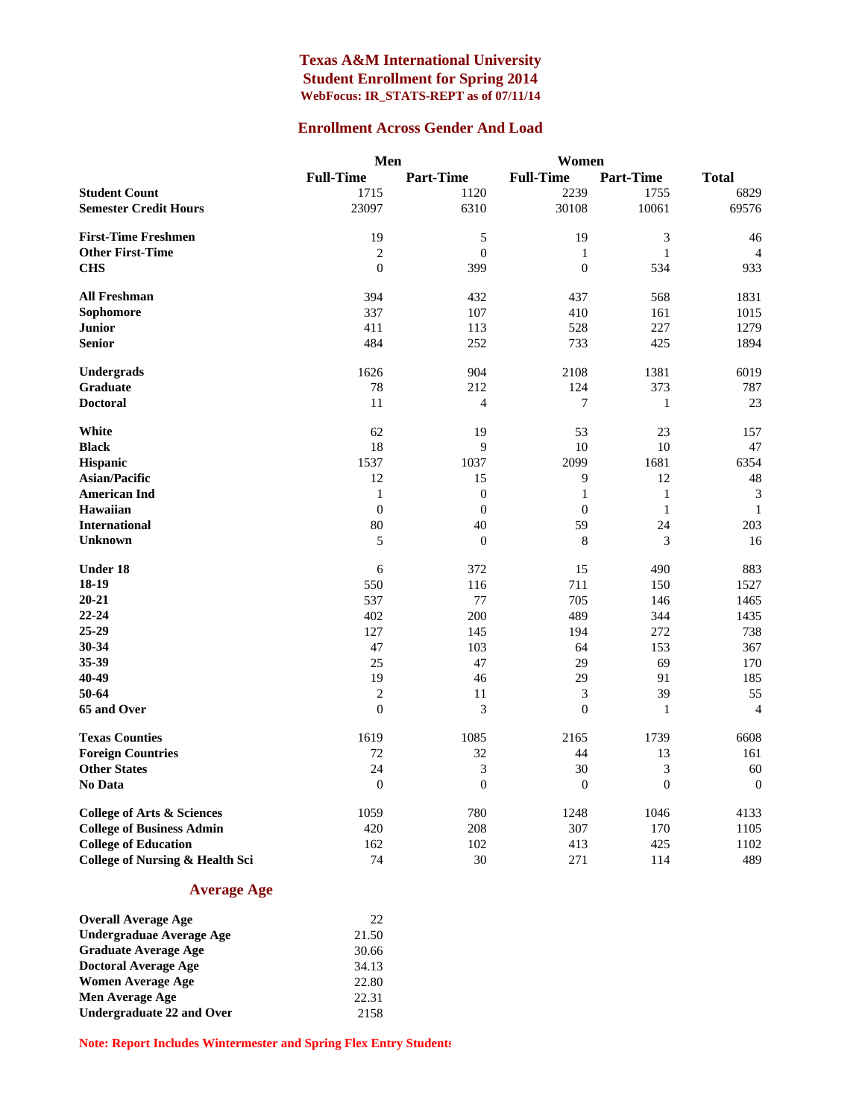#### **Texas A&M International University Student Enrollment for Spring 2014 WebFocus: IR\_STATS-REPT as of 07/11/14**

#### **Enrollment Across Gender And Load**

|                                            | Men              |                  | Women                       |                  |                |
|--------------------------------------------|------------------|------------------|-----------------------------|------------------|----------------|
|                                            | <b>Full-Time</b> | <b>Part-Time</b> | <b>Full-Time</b>            | <b>Part-Time</b> | <b>Total</b>   |
| <b>Student Count</b>                       | 1715             | 1120             | 2239                        | 1755             | 6829           |
| <b>Semester Credit Hours</b>               | 23097            | 6310             | 30108                       | 10061            | 69576          |
|                                            |                  |                  |                             |                  |                |
| <b>First-Time Freshmen</b>                 | 19               | 5                | 19                          | 3                | 46             |
| <b>Other First-Time</b>                    | $\overline{c}$   | $\overline{0}$   | $\mathbf{1}$                | $\mathbf{1}$     | $\overline{4}$ |
| <b>CHS</b>                                 | $\theta$         | 399              | $\boldsymbol{0}$            | 534              | 933            |
| <b>All Freshman</b>                        | 394              | 432              | 437                         | 568              | 1831           |
| Sophomore                                  | 337              | 107              | 410                         | 161              | 1015           |
| <b>Junior</b>                              | 411              | 113              | 528                         | 227              | 1279           |
| <b>Senior</b>                              | 484              | 252              | 733                         | 425              | 1894           |
|                                            |                  |                  |                             |                  |                |
| <b>Undergrads</b>                          | 1626             | 904              | 2108                        | 1381             | 6019           |
| <b>Graduate</b>                            | 78               | 212              | 124                         | 373              | 787            |
| <b>Doctoral</b>                            | 11               | $\overline{4}$   | 7                           | $\mathbf{1}$     | 23             |
| White                                      | 62               | 19               | 53                          | 23               | 157            |
| <b>Black</b>                               | 18               | 9                | 10                          | 10               | 47             |
| Hispanic                                   | 1537             | 1037             | 2099                        | 1681             | 6354           |
| Asian/Pacific                              | 12               | 15               | $\overline{9}$              | 12               | 48             |
| <b>American Ind</b>                        | $\mathbf{1}$     | $\boldsymbol{0}$ | $\mathbf{1}$                | $\mathbf{1}$     | 3              |
| Hawaiian                                   | $\theta$         | $\overline{0}$   | $\overline{0}$              | $\mathbf{1}$     | $\mathbf{1}$   |
| <b>International</b>                       | 80               | 40               | 59                          | 24               | 203            |
| <b>Unknown</b>                             | 5                | $\boldsymbol{0}$ | $\,8\,$                     | 3                | 16             |
| <b>Under 18</b>                            | 6                | 372              | 15                          | 490              | 883            |
| 18-19                                      | 550              | 116              | 711                         | 150              | 1527           |
| $20 - 21$                                  | 537              | 77               | 705                         | 146              | 1465           |
| $22 - 24$                                  | 402              | 200              | 489                         | 344              | 1435           |
| 25-29                                      | 127              | 145              | 194                         | 272              | 738            |
| 30-34                                      | 47               | 103              | 64                          | 153              | 367            |
| 35-39                                      | 25               | 47               | 29                          | 69               | 170            |
| 40-49                                      | 19               | 46               | 29                          | 91               | 185            |
| 50-64                                      | $\mathbf{2}$     | 11               | $\ensuremath{\mathfrak{Z}}$ | 39               | 55             |
| 65 and Over                                | $\overline{0}$   | 3                | $\overline{0}$              | $\mathbf{1}$     | $\overline{4}$ |
| <b>Texas Counties</b>                      | 1619             | 1085             | 2165                        | 1739             | 6608           |
| <b>Foreign Countries</b>                   | 72               | 32               | 44                          | 13               | 161            |
| <b>Other States</b>                        | 24               | 3                | 30                          | 3                | 60             |
| No Data                                    | $\overline{0}$   | $\boldsymbol{0}$ | $\overline{0}$              | $\overline{0}$   | $\mathbf{0}$   |
|                                            |                  |                  |                             |                  |                |
| <b>College of Arts &amp; Sciences</b>      | 1059             | 780              | 1248                        | 1046             | 4133           |
| <b>College of Business Admin</b>           | 420              | 208              | 307                         | 170              | 1105           |
| <b>College of Education</b>                | 162              | 102              | 413                         | 425              | 1102           |
| <b>College of Nursing &amp; Health Sci</b> | 74               | 30               | 271                         | 114              | 489            |

#### **Average Age**

| <b>Overall Average Age</b>       | 22    |
|----------------------------------|-------|
| Undergraduae Average Age         | 21.50 |
| <b>Graduate Average Age</b>      | 30.66 |
| <b>Doctoral Average Age</b>      | 34.13 |
| <b>Women Average Age</b>         | 22.80 |
| Men Average Age                  | 22.31 |
| <b>Undergraduate 22 and Over</b> | 2158  |

**Note: Report Includes Wintermester and Spring Flex Entry Students**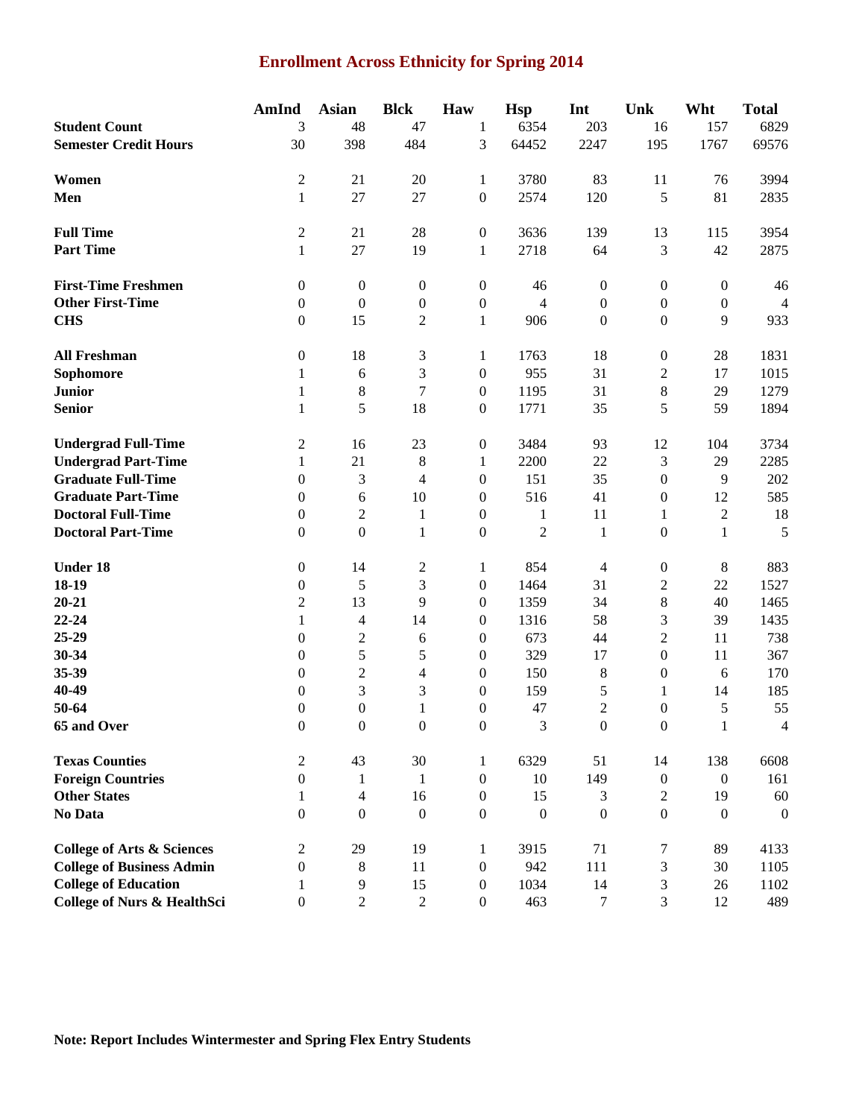# **Enrollment Across Ethnicity for Spring 2014**

|                                        | AmInd            | <b>Asian</b>     | <b>Blck</b>      | Haw              | <b>Hsp</b>     | Int              | Unk                         | Wht              | <b>Total</b>     |
|----------------------------------------|------------------|------------------|------------------|------------------|----------------|------------------|-----------------------------|------------------|------------------|
| <b>Student Count</b>                   | 3                | 48               | 47               | 1                | 6354           | 203              | 16                          | 157              | 6829             |
| <b>Semester Credit Hours</b>           | 30               | 398              | 484              | 3                | 64452          | 2247             | 195                         | 1767             | 69576            |
|                                        |                  |                  |                  |                  |                |                  |                             |                  |                  |
| Women                                  | $\mathfrak 2$    | 21               | 20               | 1                | 3780           | 83               | 11                          | 76               | 3994             |
| Men                                    | $\mathbf{1}$     | 27               | 27               | $\boldsymbol{0}$ | 2574           | 120              | 5                           | 81               | 2835             |
| <b>Full Time</b>                       | $\sqrt{2}$       | 21               | 28               | $\boldsymbol{0}$ | 3636           | 139              | 13                          | 115              | 3954             |
| <b>Part Time</b>                       | $\mathbf{1}$     | 27               | 19               | $\mathbf{1}$     | 2718           | 64               | $\mathfrak{Z}$              | 42               | 2875             |
|                                        |                  |                  |                  |                  |                |                  |                             |                  |                  |
| <b>First-Time Freshmen</b>             | $\boldsymbol{0}$ | $\boldsymbol{0}$ | $\boldsymbol{0}$ | $\boldsymbol{0}$ | 46             | $\boldsymbol{0}$ | $\boldsymbol{0}$            | $\boldsymbol{0}$ | 46               |
| <b>Other First-Time</b>                | $\boldsymbol{0}$ | $\boldsymbol{0}$ | $\boldsymbol{0}$ | $\boldsymbol{0}$ | $\overline{4}$ | $\boldsymbol{0}$ | $\boldsymbol{0}$            | $\boldsymbol{0}$ | $\overline{4}$   |
| <b>CHS</b>                             | $\boldsymbol{0}$ | 15               | $\mathfrak{2}$   | $\mathbf{1}$     | 906            | $\boldsymbol{0}$ | $\boldsymbol{0}$            | 9                | 933              |
| <b>All Freshman</b>                    | $\boldsymbol{0}$ | 18               | 3                | 1                | 1763           | 18               | $\boldsymbol{0}$            | 28               | 1831             |
| Sophomore                              | 1                | 6                | 3                | $\boldsymbol{0}$ | 955            | 31               | $\sqrt{2}$                  | 17               | 1015             |
| <b>Junior</b>                          | 1                | $8\,$            | $\overline{7}$   | $\boldsymbol{0}$ | 1195           | 31               | $\,8\,$                     | 29               | 1279             |
| <b>Senior</b>                          | 1                | 5                | 18               | $\boldsymbol{0}$ | 1771           | 35               | 5                           | 59               | 1894             |
|                                        |                  |                  |                  |                  |                |                  |                             |                  |                  |
| <b>Undergrad Full-Time</b>             | $\sqrt{2}$       | 16               | 23               | $\boldsymbol{0}$ | 3484           | 93               | 12                          | 104              | 3734             |
| <b>Undergrad Part-Time</b>             | $\mathbf{1}$     | 21               | $\,$ 8 $\,$      | $\mathbf{1}$     | 2200           | 22               | $\mathfrak{Z}$              | 29               | 2285             |
| <b>Graduate Full-Time</b>              | $\boldsymbol{0}$ | 3                | 4                | $\boldsymbol{0}$ | 151            | 35               | $\boldsymbol{0}$            | 9                | 202              |
| <b>Graduate Part-Time</b>              | $\boldsymbol{0}$ | 6                | 10               | $\boldsymbol{0}$ | 516            | 41               | $\boldsymbol{0}$            | 12               | 585              |
| <b>Doctoral Full-Time</b>              | $\boldsymbol{0}$ | $\mathfrak{2}$   | $\mathbf{1}$     | $\boldsymbol{0}$ | $\mathbf{1}$   | 11               | 1                           | $\boldsymbol{2}$ | 18               |
| <b>Doctoral Part-Time</b>              | $\boldsymbol{0}$ | $\boldsymbol{0}$ | $\mathbf{1}$     | $\boldsymbol{0}$ | $\overline{2}$ | $\mathbf{1}$     | $\boldsymbol{0}$            | $\mathbf{1}$     | 5                |
| <b>Under 18</b>                        | $\boldsymbol{0}$ | 14               | $\overline{c}$   | 1                | 854            | 4                | $\boldsymbol{0}$            | 8                | 883              |
| 18-19                                  | $\boldsymbol{0}$ | 5                | 3                | $\boldsymbol{0}$ | 1464           | 31               | $\sqrt{2}$                  | 22               | 1527             |
| $20 - 21$                              | $\mathfrak{2}$   | 13               | 9                | $\mathbf{0}$     | 1359           | 34               | $\,8\,$                     | 40               | 1465             |
| 22-24                                  | 1                | $\overline{4}$   | 14               | $\mathbf{0}$     | 1316           | 58               | $\mathfrak{Z}$              | 39               | 1435             |
| 25-29                                  | $\boldsymbol{0}$ | $\mathfrak{2}$   | 6                | $\boldsymbol{0}$ | 673            | 44               | $\mathfrak{2}$              | 11               | 738              |
| 30-34                                  | $\boldsymbol{0}$ | 5                | 5                | $\boldsymbol{0}$ | 329            | 17               | $\boldsymbol{0}$            | 11               | 367              |
| 35-39                                  | $\boldsymbol{0}$ | $\mathfrak 2$    | 4                | $\boldsymbol{0}$ | 150            | $\,$ 8 $\,$      | $\boldsymbol{0}$            | 6                | 170              |
| 40-49                                  | $\boldsymbol{0}$ | 3                | 3                | $\boldsymbol{0}$ | 159            | 5                | 1                           | 14               | 185              |
| 50-64                                  | $\boldsymbol{0}$ | $\boldsymbol{0}$ | $\mathbf{1}$     | $\boldsymbol{0}$ | 47             | $\overline{c}$   | $\boldsymbol{0}$            | 5                | 55               |
| 65 and Over                            | $\overline{0}$   | $\boldsymbol{0}$ | $\boldsymbol{0}$ | $\boldsymbol{0}$ | 3              | $\overline{0}$   | $\mathbf{0}$                | 1                | 4                |
|                                        |                  |                  |                  |                  |                |                  |                             |                  |                  |
| <b>Texas Counties</b>                  | $\mathfrak{2}$   | 43               | 30               | 1                | 6329           | 51               | 14                          | 138              | 6608             |
| <b>Foreign Countries</b>               | $\boldsymbol{0}$ | 1                | 1                | $\mathbf{0}$     | 10             | 149              | $\boldsymbol{0}$            | $\overline{0}$   | 161              |
| <b>Other States</b>                    | 1                | $\overline{4}$   | 16               | $\mathbf{0}$     | 15             | 3                | $\overline{2}$              | 19               | 60               |
| No Data                                | $\boldsymbol{0}$ | $\boldsymbol{0}$ | $\mathbf{0}$     | $\mathbf{0}$     | $\overline{0}$ | $\boldsymbol{0}$ | $\boldsymbol{0}$            | $\boldsymbol{0}$ | $\boldsymbol{0}$ |
| <b>College of Arts &amp; Sciences</b>  | $\sqrt{2}$       | 29               | 19               | 1                | 3915           | 71               | $\boldsymbol{7}$            | 89               | 4133             |
| <b>College of Business Admin</b>       | $\boldsymbol{0}$ | $8\phantom{.}$   | 11               | $\boldsymbol{0}$ | 942            | 111              | $\ensuremath{\mathfrak{Z}}$ | 30               | 1105             |
| <b>College of Education</b>            | 1                | 9                | 15               | $\boldsymbol{0}$ | 1034           | 14               | 3                           | 26               | 1102             |
| <b>College of Nurs &amp; HealthSci</b> | $\boldsymbol{0}$ | $\overline{2}$   | $\overline{2}$   | $\boldsymbol{0}$ | 463            | $\tau$           | 3                           | 12               | 489              |
|                                        |                  |                  |                  |                  |                |                  |                             |                  |                  |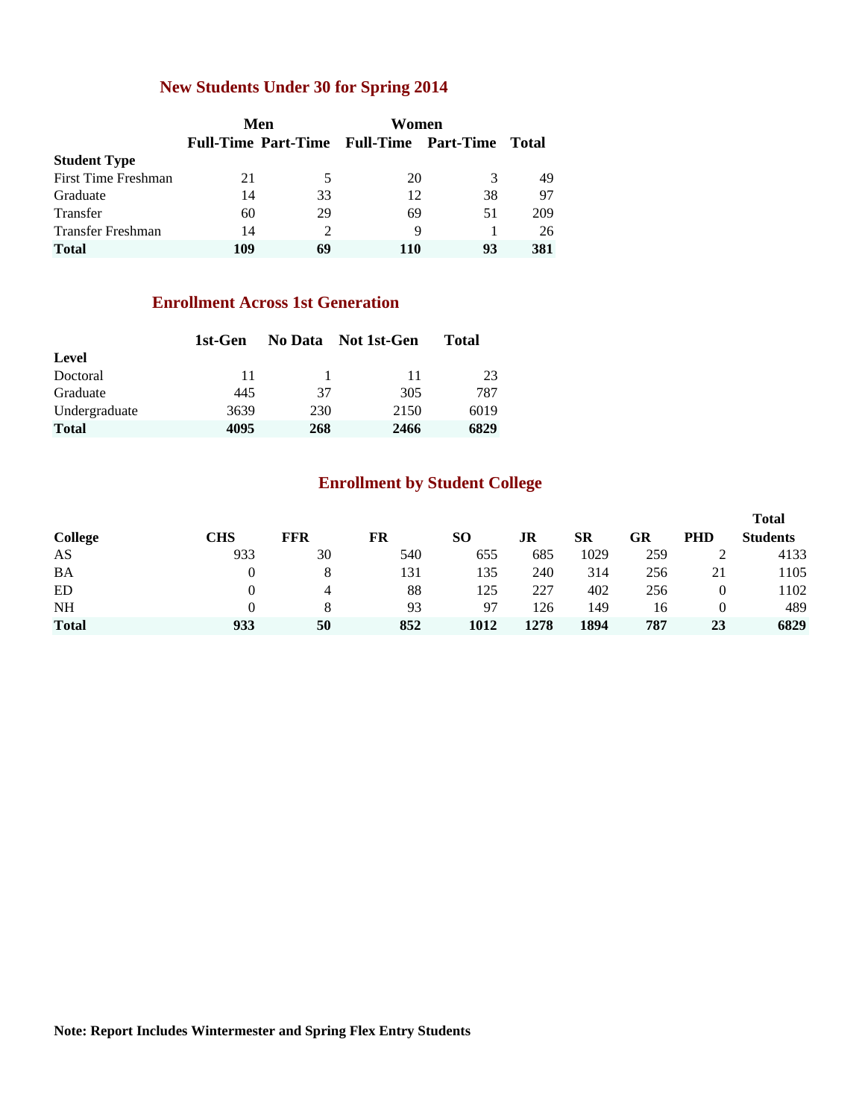### **New Students Under 30 for Spring 2014**

|                     |     | Men           | Women                                   |    |       |  |
|---------------------|-----|---------------|-----------------------------------------|----|-------|--|
|                     |     |               | Full-Time Part-Time Full-Time Part-Time |    | Total |  |
| <b>Student Type</b> |     |               |                                         |    |       |  |
| First Time Freshman | 21  | 5.            | 20                                      | 3  | 49    |  |
| Graduate            | 14  | 33            | 12                                      | 38 | 97    |  |
| Transfer            | 60  | 29            | 69                                      | 51 | 209   |  |
| Transfer Freshman   | 14  | $\mathcal{D}$ | 9                                       |    | 26    |  |
| <b>Total</b>        | 109 | 69            | 110                                     | 93 | 381   |  |

#### **Enrollment Across 1st Generation**

|               | 1st-Gen |     | No Data Not 1st-Gen | <b>Total</b> |
|---------------|---------|-----|---------------------|--------------|
| Level         |         |     |                     |              |
| Doctoral      | 11      |     | 11                  | 23           |
| Graduate      | 445     | 37  | 305                 | 787          |
| Undergraduate | 3639    | 230 | 2150                | 6019         |
| <b>Total</b>  | 4095    | 268 | 2466                | 6829         |

### **Enrollment by Student College**

|              |     |     |     |           |      |      |     |            | <b>Total</b>    |
|--------------|-----|-----|-----|-----------|------|------|-----|------------|-----------------|
| College      | CHS | FFR | FR  | <b>SO</b> | JR   | SR   | GR  | <b>PHD</b> | <b>Students</b> |
| AS           | 933 | 30  | 540 | 655       | 685  | 1029 | 259 |            | 4133            |
| <b>BA</b>    |     | 8   | 131 | 135       | 240  | 314  | 256 | 21         | 1105            |
| ED           |     | 4   | 88  | 125       | 227  | 402  | 256 | $\Omega$   | 1102            |
| <b>NH</b>    |     | 8   | 93  | 97        | 126  | 149  | 16  | $\theta$   | 489             |
| <b>Total</b> | 933 | 50  | 852 | 1012      | 1278 | 1894 | 787 | 23         | 6829            |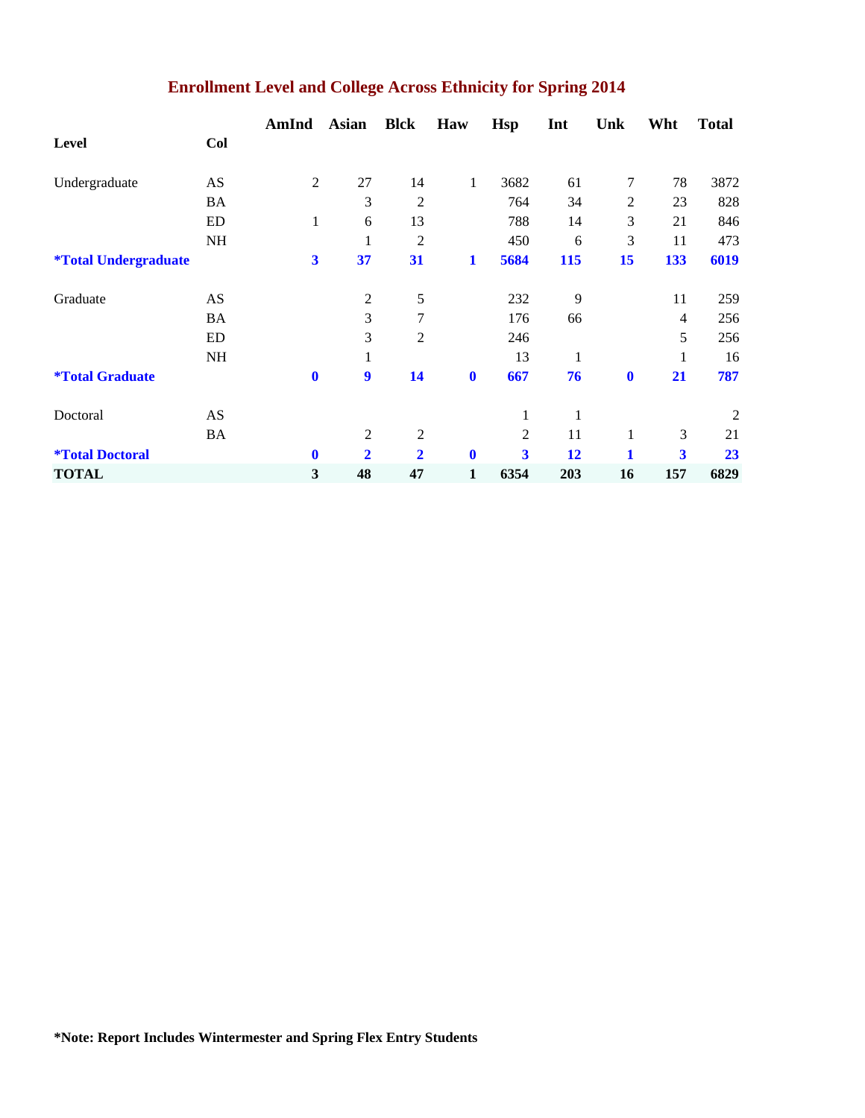|                                    |           | AmInd          | <b>Asian</b>   | <b>Blck</b>    | Haw         | <b>Hsp</b>              | Int | Unk            | Wht | <b>Total</b> |
|------------------------------------|-----------|----------------|----------------|----------------|-------------|-------------------------|-----|----------------|-----|--------------|
| Level                              | Col       |                |                |                |             |                         |     |                |     |              |
| Undergraduate                      | AS        | $\overline{2}$ | 27             | 14             | 1           | 3682                    | 61  | 7              | 78  | 3872         |
|                                    | BA        |                | 3              | $\overline{2}$ |             | 764                     | 34  | $\overline{2}$ | 23  | 828          |
|                                    | ED        | 1              | $\sqrt{6}$     | 13             |             | 788                     | 14  | 3              | 21  | 846          |
|                                    | <b>NH</b> |                | 1              | $\overline{2}$ |             | 450                     | 6   | 3              | 11  | 473          |
| <i><b>*Total Undergraduate</b></i> |           | $\mathbf{3}$   | 37             | 31             | 1           | 5684                    | 115 | 15             | 133 | 6019         |
| Graduate                           | AS        |                | $\overline{2}$ | 5              |             | 232                     | 9   |                | 11  | 259          |
|                                    | BA        |                | 3              | 7              |             | 176                     | 66  |                | 4   | 256          |
|                                    | <b>ED</b> |                | 3              | $\overline{2}$ |             | 246                     |     |                | 5   | 256          |
|                                    | <b>NH</b> |                | 1              |                |             | 13                      | 1   |                | 1   | 16           |
| <i><b>*Total Graduate</b></i>      |           | $\bf{0}$       | 9              | 14             | $\bf{0}$    | 667                     | 76  | $\mathbf 0$    | 21  | 787          |
| Doctoral                           | AS        |                |                |                |             | 1                       | 1   |                |     | 2            |
|                                    | <b>BA</b> |                | $\overline{2}$ | 2              |             | 2                       | 11  | 1              | 3   | 21           |
| <i><b>*Total Doctoral</b></i>      |           | $\mathbf 0$    | $\overline{2}$ | $\overline{2}$ | $\mathbf 0$ | $\overline{\mathbf{3}}$ | 12  | $\blacksquare$ | 3   | 23           |
| <b>TOTAL</b>                       |           | $\mathbf{3}$   | 48             | 47             | $\mathbf 1$ | 6354                    | 203 | 16             | 157 | 6829         |

### **Enrollment Level and College Across Ethnicity for Spring 2014**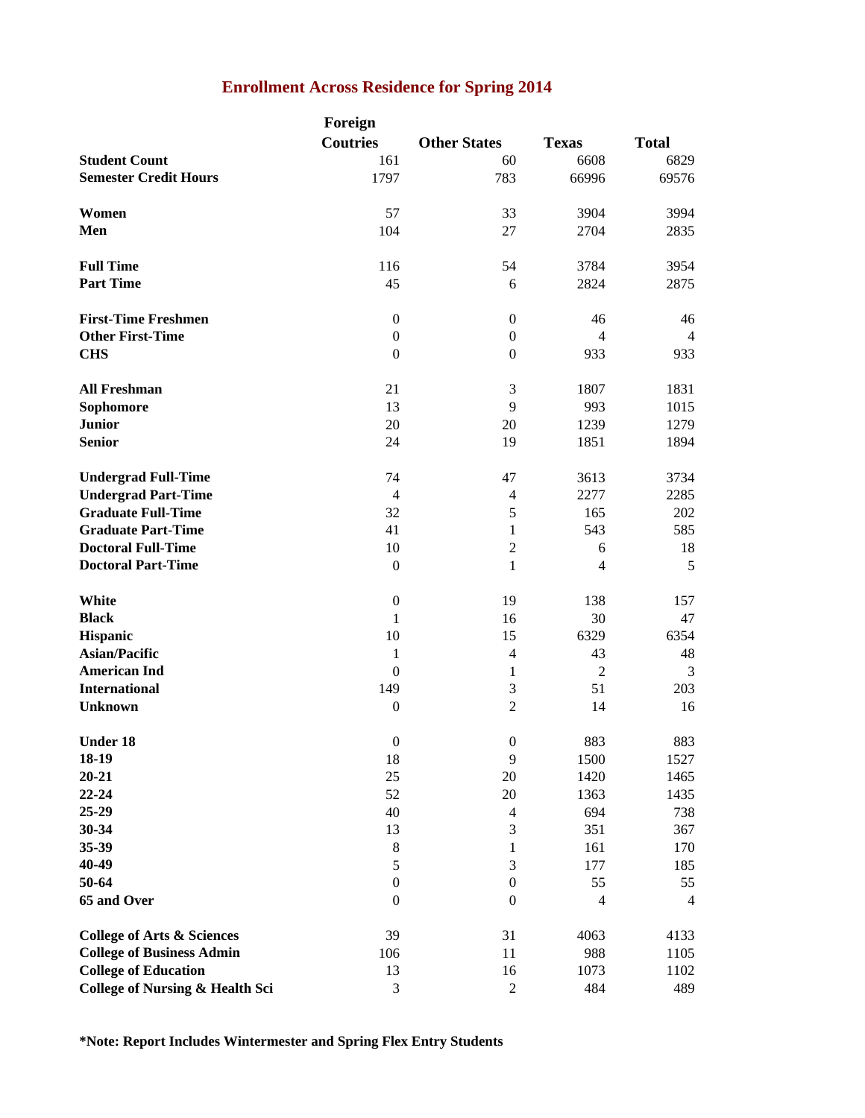# **Enrollment Across Residence for Spring 2014**

|                                            | Foreign          |                          |                |                |
|--------------------------------------------|------------------|--------------------------|----------------|----------------|
|                                            | <b>Coutries</b>  | <b>Other States</b>      | <b>Texas</b>   | <b>Total</b>   |
| <b>Student Count</b>                       | 161              | 60                       | 6608           | 6829           |
| <b>Semester Credit Hours</b>               | 1797             | 783                      | 66996          | 69576          |
| Women                                      | 57               | 33                       | 3904           | 3994           |
| Men                                        | 104              | 27                       | 2704           | 2835           |
| <b>Full Time</b>                           | 116              | 54                       | 3784           | 3954           |
| <b>Part Time</b>                           | 45               | 6                        | 2824           | 2875           |
| <b>First-Time Freshmen</b>                 | $\boldsymbol{0}$ | $\boldsymbol{0}$         | 46             | 46             |
| <b>Other First-Time</b>                    | $\boldsymbol{0}$ | $\boldsymbol{0}$         | $\overline{4}$ | $\overline{4}$ |
| <b>CHS</b>                                 | $\boldsymbol{0}$ | $\boldsymbol{0}$         | 933            | 933            |
| <b>All Freshman</b>                        | 21               | 3                        | 1807           | 1831           |
| Sophomore                                  | 13               | 9                        | 993            | 1015           |
| <b>Junior</b>                              | 20               | 20                       | 1239           | 1279           |
| <b>Senior</b>                              | 24               | 19                       | 1851           | 1894           |
| <b>Undergrad Full-Time</b>                 | 74               | 47                       | 3613           | 3734           |
| <b>Undergrad Part-Time</b>                 | $\overline{4}$   | $\overline{4}$           | 2277           | 2285           |
| <b>Graduate Full-Time</b>                  | 32               | 5                        | 165            | 202            |
| <b>Graduate Part-Time</b>                  | 41               | 1                        | 543            | 585            |
| <b>Doctoral Full-Time</b>                  | 10               | $\overline{2}$           | 6              | 18             |
| <b>Doctoral Part-Time</b>                  | $\boldsymbol{0}$ | 1                        | $\overline{4}$ | 5              |
| White                                      | $\boldsymbol{0}$ | 19                       | 138            | 157            |
| <b>Black</b>                               | 1                | 16                       | 30             | 47             |
| Hispanic                                   | 10               | 15                       | 6329           | 6354           |
| <b>Asian/Pacific</b>                       | 1                | $\overline{4}$           | 43             | 48             |
| <b>American Ind</b>                        | $\boldsymbol{0}$ | 1                        | $\overline{2}$ | 3              |
| <b>International</b>                       | 149              | 3                        | 51             | 203            |
| <b>Unknown</b>                             | $\boldsymbol{0}$ | $\overline{2}$           | 14             | 16             |
| <b>Under 18</b>                            | $\boldsymbol{0}$ | $\boldsymbol{0}$         | 883            | 883            |
| 18-19                                      | 18               | 9                        | 1500           | 1527           |
| $20 - 21$                                  | 25               | 20                       | 1420           | 1465           |
| $22 - 24$                                  | 52               | 20                       | 1363           | 1435           |
| 25-29                                      | 40               | $\overline{\mathcal{L}}$ | 694            | 738            |
| 30-34                                      | 13               | 3                        | 351            | 367            |
| 35-39                                      | $8\,$            | $\mathbf{1}$             | 161            | 170            |
| 40-49                                      | $\mathfrak s$    | 3                        | 177            | 185            |
| 50-64                                      | $\boldsymbol{0}$ | $\boldsymbol{0}$         | 55             | 55             |
| 65 and Over                                | $\boldsymbol{0}$ | $\boldsymbol{0}$         | $\overline{4}$ | $\overline{4}$ |
| <b>College of Arts &amp; Sciences</b>      | 39               | 31                       | 4063           | 4133           |
| <b>College of Business Admin</b>           | 106              | 11                       | 988            | 1105           |
| <b>College of Education</b>                | 13               | 16                       | 1073           | 1102           |
| <b>College of Nursing &amp; Health Sci</b> | 3                | $\overline{c}$           | 484            | 489            |

**\*Note: Report Includes Wintermester and Spring Flex Entry Students**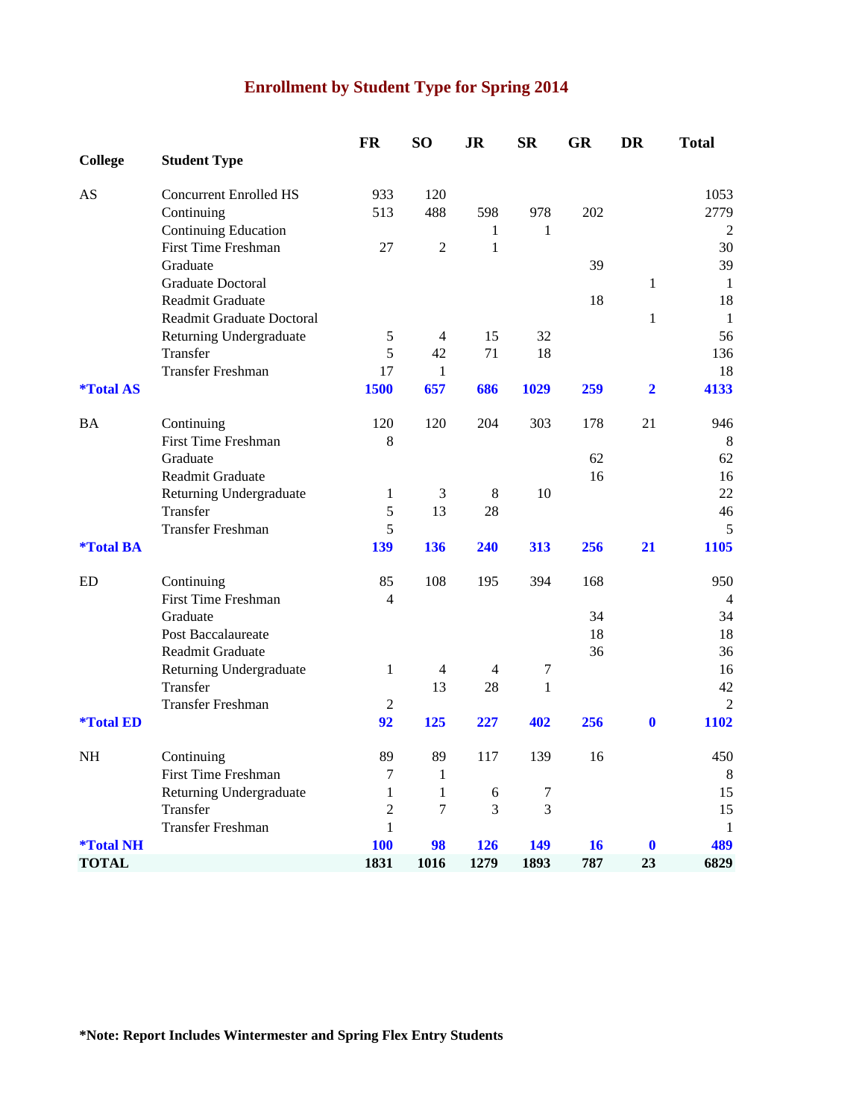# **Enrollment by Student Type for Spring 2014**

|                         |                               | <b>FR</b>        | SO <sub>1</sub> | <b>JR</b>      | <b>SR</b>        | <b>GR</b> | <b>DR</b>      | <b>Total</b>   |
|-------------------------|-------------------------------|------------------|-----------------|----------------|------------------|-----------|----------------|----------------|
| <b>College</b>          | <b>Student Type</b>           |                  |                 |                |                  |           |                |                |
| AS                      | <b>Concurrent Enrolled HS</b> | 933              | 120             |                |                  |           |                | 1053           |
|                         | Continuing                    | 513              | 488             | 598            | 978              | 202       |                | 2779           |
|                         | Continuing Education          |                  |                 | 1              | 1                |           |                | 2              |
|                         | <b>First Time Freshman</b>    | 27               | $\overline{2}$  | $\mathbf{1}$   |                  |           |                | 30             |
|                         | Graduate                      |                  |                 |                |                  | 39        |                | 39             |
|                         | <b>Graduate Doctoral</b>      |                  |                 |                |                  |           | $\mathbf{1}$   | -1             |
|                         | Readmit Graduate              |                  |                 |                |                  | 18        |                | 18             |
|                         | Readmit Graduate Doctoral     |                  |                 |                |                  |           | $\mathbf{1}$   | $\mathbf{1}$   |
|                         | Returning Undergraduate       | 5                | $\overline{4}$  | 15             | 32               |           |                | 56             |
|                         | Transfer                      | 5                | 42              | 71             | 18               |           |                | 136            |
|                         | <b>Transfer Freshman</b>      | 17               | $\mathbf{1}$    |                |                  |           |                | 18             |
| <i><b>*Total AS</b></i> |                               | 1500             | 657             | 686            | 1029             | 259       | $\overline{2}$ | 4133           |
| BA                      | Continuing                    | 120              | 120             | 204            | 303              | 178       | 21             | 946            |
|                         | <b>First Time Freshman</b>    | 8                |                 |                |                  |           |                | 8              |
|                         | Graduate                      |                  |                 |                |                  | 62        |                | 62             |
|                         | Readmit Graduate              |                  |                 |                |                  | 16        |                | 16             |
|                         | Returning Undergraduate       | $\mathbf{1}$     | $\mathfrak{Z}$  | $\,8\,$        | 10               |           |                | 22             |
|                         | Transfer                      | 5                | 13              | 28             |                  |           |                | 46             |
|                         | <b>Transfer Freshman</b>      | 5                |                 |                |                  |           |                | 5              |
| <i><b>*Total BA</b></i> |                               | 139              | 136             | 240            | 313              | 256       | 21             | 1105           |
| ED                      | Continuing                    | 85               | 108             | 195            | 394              | 168       |                | 950            |
|                         | <b>First Time Freshman</b>    | $\overline{4}$   |                 |                |                  |           |                | $\overline{4}$ |
|                         | Graduate                      |                  |                 |                |                  | 34        |                | 34             |
|                         | Post Baccalaureate            |                  |                 |                |                  | 18        |                | 18             |
|                         | Readmit Graduate              |                  |                 |                |                  | 36        |                | 36             |
|                         | Returning Undergraduate       | $\mathbf{1}$     | $\overline{4}$  | $\overline{4}$ | $\boldsymbol{7}$ |           |                | 16             |
|                         | Transfer                      |                  | 13              | 28             | $\mathbf{1}$     |           |                | 42             |
|                         | <b>Transfer Freshman</b>      | $\overline{2}$   |                 |                |                  |           |                | $\overline{2}$ |
| <i><b>*Total ED</b></i> |                               | 92               | 125             | 227            | 402              | 256       | $\mathbf{0}$   | 1102           |
| <b>NH</b>               | Continuing                    | 89               | 89              | 117            | 139              | 16        |                | 450            |
|                         | <b>First Time Freshman</b>    | $\boldsymbol{7}$ | $\mathbf{1}$    |                |                  |           |                | 8              |
|                         | Returning Undergraduate       | $\mathbf{1}$     | $\mathbf{1}$    | 6              | $\boldsymbol{7}$ |           |                | 15             |
|                         | Transfer                      | $\overline{2}$   | $\overline{7}$  | 3              | 3                |           |                | 15             |
|                         | <b>Transfer Freshman</b>      | $\mathbf{1}$     |                 |                |                  |           |                | $\mathbf{1}$   |
| <b><i>*Total NH</i></b> |                               | <b>100</b>       | 98              | 126            | 149              | 16        | $\bf{0}$       | 489            |
| <b>TOTAL</b>            |                               | 1831             | 1016            | 1279           | 1893             | 787       | 23             | 6829           |